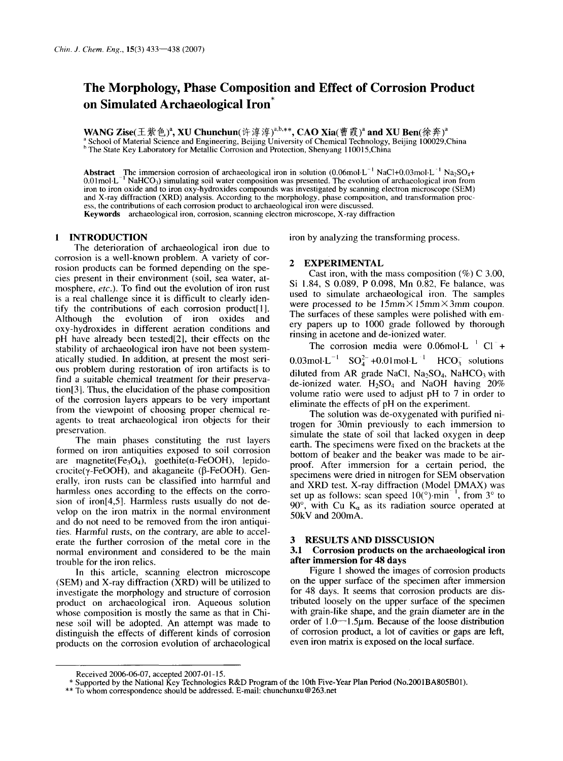## **The Morphology, Phase Composition and Effect of Corrosion Product on Simulated Archaeological Iron\***

WANG Zise(王紫色)<sup>a</sup>, XU Chunchun(许淳淳)<sup>a,b,\*\*</sup>, CAO Xia(曹霞)<sup>a</sup> and XU Ben(徐奔)<sup>a</sup><br>ª School of Material Science and Engineering, Beijing University of Chemical Technology, Beijing 100029,China <sup>b</sup> The State Key Laboratory for Metallic Corrosion and Protection, Shenyang 110015,China

Abstract The immersion corrosion of archaeological iron in solution  $(0.06 \text{ mol} \cdot \text{L}^{-1} \text{ NaCl} + 0.03 \text{ mol} \cdot \text{L}^{-1} \text{ Na}_2\text{SO}_4 +$ 0.01 mol $L^{-1}$  NaHCO<sub>3</sub>) simulating soil water composition was presented. The evolution of archaeological iron from iron to iron oxide and to iron oxy-hydroxides compounds was investigated by scanning electron microscope (SEM) and X-ray diffraction (XRD) analysis. According to the morphology, phase composition, and transformation process, the contributions of each corrosion product to archaeological iron were discussed. Keywords archaeological iron, corrosion, scanning electron microscope, X-ray diffraction

The deterioration of archaeological iron due to corrosion is a well-known problem. A variety of corrosion products can be formed depending on the species present in their environment (soil, sea water, atmosphere, *etc.).* To find out the evolution of iron rust is a real challenge since it is difficult to clearly identify the contributions of each corrosion product[1]. Although the evolution of iron oxides and oxy-hydroxides in different aeration conditions and pH have already been tested[2], their effects on the stability of archaeological iron have not been systematically studied. In addition, at present the most serious problem during restoration of iron artifacts is to find **a** suitable chemical treatment for their preservation[31. Thus, the elucidation of the phase composition of the corrosion layers appears to be very important from the viewpoint of choosing proper chemical reagents to treat archaeological iron objects for their preservation.

The main phases constituting the rust layers formed on iron antiquities exposed to soil corrosion are magnetite(Fe<sub>3</sub>O<sub>4</sub>), goethite( $\alpha$ -FeOOH), lepidocrocite( $\gamma$ -FeOOH), and akaganeite ( $\beta$ -FeOOH). Generally, iron rusts can be classified into harmful and harmless ones according to the effects on the corrosion of iron[4,5]. Harmless rusts usually do not develop on the iron matrix in the normal environment and do not need to be removed from the iron antiquities. Harmful rusts, on the contrary, are able to accelerate the further corrosion of the metal core in the normal environment and considered to be the main trouble for the iron relics.

In this article, scanning electron microscope (SEM) and X-ray diffraction (XRD) will be utilized to investigate the morphology and structure of corrosion product on archaeological iron. Aqueous solution whose composition is mostly the same as that in Chinese soil will be adopted. An attempt was made to distinguish the effects of different kinds of corrosion products on the corrosion evolution of archaeological

**INTRODUCTION iron** by analyzing the transforming process.

#### **2 EXPERIMENTAL**

Cast iron, with the mass composition  $(\%)$  C 3.00, Si 1.84, **S** 0.089, P 0.098, Mn 0.82, Fe balance, was used to simulate archaeological iron. The samples were processed to be  $15 \text{mm} \times 15 \text{mm} \times 3 \text{mm}$  coupon. The surfaces of these samples were polished with emery papers up to 1000 grade followed by thorough rinsing in acetone and de-ionized water.

The corrosion media were  $0.06 \text{ mol} \cdot L^{-1} \text{ Cl}^{-} +$ 0.03mol $\cdot L^{-1}$  SO<sub>4</sub><sup>2</sup> +0.01mol $\cdot L^{-1}$  HCO<sub>3</sub> solutions diluted from AR grade NaCl,  $Na<sub>2</sub>SO<sub>4</sub>$ , NaHCO<sub>3</sub> with de-ionized water.  $H_2SO_4$  and NaOH having 20% volume ratio were used to adjust pH to 7 in order to eliminate the effects of pH on the experiment.

The solution was de-oxygenated with purified nitrogen for 30min previously to each immersion to simulate the state of soil that lacked oxygen in deep earth. The specimens were fixed on the brackets at the bottom of beaker and the beaker was made to be airproof. After immersion for a certain period, the specimens were dried in nitrogen for SEM observation and  $XRD$  test.  $X$ -ray diffraction (Model  $DMAX$ ) was set up as follows: scan speed  $10(^{\circ})$  min<sup>-1</sup>, from  $3^{\circ}$  to 90 $^{\circ}$ , with Cu K<sub> $\alpha$ </sub> as its radiation source operated at **50kV** and 200mA.

#### **3 RESULTS AND DISSCUSION**

#### **3.1 Corrosion products on the archaeological iron after immersion for 48 days**

Figure 1 showed the images of corrosion products on the upper surface of the specimen after immersion for 48 days. It seems that corrosion products are distributed loosely on the upper surface of the specimen with grain-like shape, and the grain diameter are in the order of  $1.0 - 1.5 \mu m$ . Because of the loose distribution of corrosion product, a lot of cavities or gaps are left, even iron matrix is exposed on the local surface.

Received 2006-06-07, accepted 2007-01 -15.

<sup>\*</sup> Supported by the National Key Technologies R&D Program of the 10th Five-Year Plan Period (No.2001BA805B01).

<sup>\*\*</sup> To whom correspondence should be addressed. E-mail: chunchunxu@263.net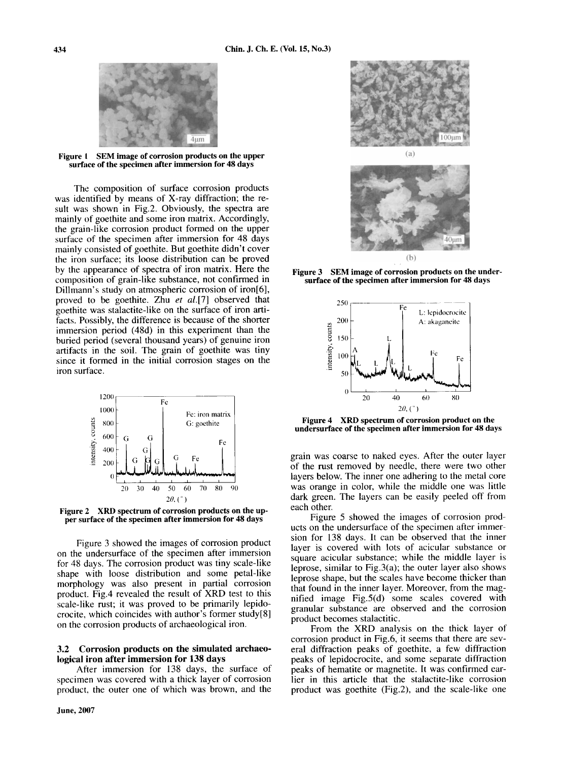

**Figure I SEM image of corrosion products on the upper surfirce of the specimen after immersion for 48 days** 

The composition of surface corrosion products was identified by means of X-ray diffraction; the result was shown in Fig.2. Obviously, the spectra are mainly of goethite and some iron matrix. Accordingly, the grain-like corrosion product formed on the upper surface of the specimen after immersion for 48 days mainly consisted of goethite. But goethite didn't cover the iron surface; its loose distribution can be proved by the appearance of spectra of iron matrix. Here the composition of grain-like substance, not confirmed in Dillmann's study on atmospheric corrosion of iron[6], proved to be goethite. Zhu *et* a1.[7] observed that goethite was stalactite-like on the surface of iron artifacts. Possibly, the difference is because of the shorter immersion period (48d) in this experiment than the buried period (several thousand years) of genuine iron artifacts in the soil. The grain of goethite was tiny since it formed in the initial corrosion stages on the iron surface.



**Figure 2 XRD spectrum of corrosion products on the upper surface of the specimen after immersion for 48 days** 

Figure 3 showed the images of corrosion product on the undersurface of the specimen after immersion for 48 days. The corrosion product was tiny scale-like shape with loose distribution and some petal-like morphology was also present in partial corrosion product. Fig.4 revealed the result of XRD test to this scale-like rust; it was proved to be primarily lepidocrocite, which coincides with author's former study[8] on the corrosion products of archaeological iron.

### **3.2 Corrosion products on the simulated archaeological iron after immersion for 138 days**

After immersion for 138 days, the surface of specimen was covered with a thick layer of corrosion product, the outer one of which was brown, and the





**Figure 3 SEM image of corrosion products on the undersurface of the specimen after immersion for 48 days** 



**Figure 4 XRD spectrum of corrosion product on the undersurface of the specimen after immersion for 48 days** 

grain was coarse to naked eyes. After the outer layer of the rust removed by needle, there were two other layers below. The inner one adhering to the metal core was orange in color, while the middle one was little dark green. The layers can be easily peeled off from each other.

Figure 5 showed the images of corrosion products on the undersurface of the specimen after immersion for 138 days. It can be observed that the inner layer is covered with lots of acicular substance or square acicular substance; while the middle layer is leprose, similar to Fig.3(a); the outer layer also shows leprose shape, but the scales have become thicker than that found in the inner layer. Moreover, from the magnified image Fig.S(d) some scales covered with granular substance are observed and the corrosion product becomes stalactitic.

From the XRD analysis on the thick layer of corrosion product in Fig.6, it seems that there are several diffraction peaks of goethite, a few diffraction peaks of lepidocrocite, and some separate diffraction peaks of hematite or magnetite. It was confirmed earlier in this article that the stalactite-like corrosion product was goethite (Fig.2), and the scale-like one